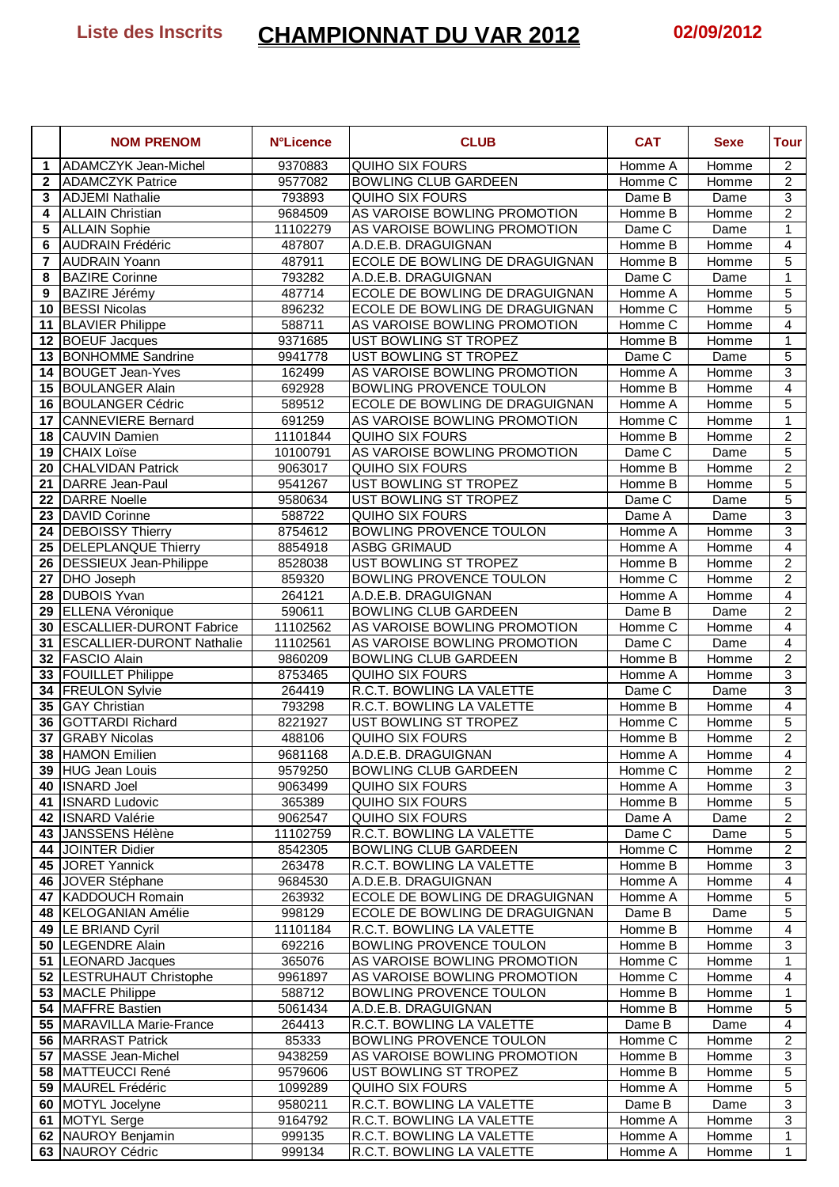## **Liste des Inscrits CHAMPIONNAT DU VAR 2012 02/09/2012**

|              | <b>NOM PRENOM</b>                                   | <b>N°Licence</b>   | <b>CLUB</b>                                                 | <b>CAT</b>                     | <b>Sexe</b>          | Tour                             |
|--------------|-----------------------------------------------------|--------------------|-------------------------------------------------------------|--------------------------------|----------------------|----------------------------------|
| $\mathbf 1$  | <b>ADAMCZYK Jean-Michel</b>                         | 9370883            | <b>QUIHO SIX FOURS</b>                                      | Homme A                        | Homme                | $\overline{2}$                   |
| $\mathbf{2}$ | <b>ADAMCZYK Patrice</b>                             | 9577082            | <b>BOWLING CLUB GARDEEN</b>                                 | Homme C                        | Homme                | $\overline{2}$                   |
| 3            | <b>ADJEMI Nathalie</b>                              | 793893             | <b>QUIHO SIX FOURS</b>                                      | Dame B                         | Dame                 | $\mathsf 3$                      |
| 4            | <b>ALLAIN Christian</b>                             | 9684509            | AS VAROISE BOWLING PROMOTION                                | Homme B                        | Homme                | $\overline{2}$                   |
| 5            | <b>ALLAIN Sophie</b>                                | 11102279           | AS VAROISE BOWLING PROMOTION                                | Dame C                         | Dame                 | 1                                |
| 6            | <b>AUDRAIN Frédéric</b>                             | 487807             | A.D.E.B. DRAGUIGNAN                                         | Homme B                        | Homme                | $\overline{\mathbf{4}}$          |
| 7            | <b>AUDRAIN Yoann</b>                                | 487911             | ECOLE DE BOWLING DE DRAGUIGNAN                              | Homme B                        | Homme                | $\overline{5}$                   |
| 8<br>9       | <b>BAZIRE Corinne</b><br><b>BAZIRE</b> Jérémy       | 793282<br>487714   | A.D.E.B. DRAGUIGNAN<br>ECOLE DE BOWLING DE DRAGUIGNAN       | Dame C                         | Dame<br><b>Homme</b> | 1<br>$\overline{5}$              |
|              | 10 BESSI Nicolas                                    | 896232             | ECOLE DE BOWLING DE DRAGUIGNAN                              | Homme A<br>Homme C             | Homme                | $\overline{5}$                   |
| 11           | <b>BLAVIER Philippe</b>                             | 588711             | AS VAROISE BOWLING PROMOTION                                | Homme C                        | Homme                | 4                                |
|              | 12 BOEUF Jacques                                    | 9371685            | UST BOWLING ST TROPEZ                                       | Homme B                        | Homme                | 1                                |
| 13           | <b>BONHOMME Sandrine</b>                            | 9941778            | UST BOWLING ST TROPEZ                                       | Dame C                         | Dame                 | 5                                |
| 14           | <b>BOUGET Jean-Yves</b>                             | 162499             | AS VAROISE BOWLING PROMOTION                                | Homme A                        | Homme                | 3                                |
| 15           | <b>BOULANGER Alain</b>                              | 692928             | BOWLING PROVENCE TOULON                                     | Homme B                        | Homme                | $\overline{\mathbf{4}}$          |
| 16           | <b>BOULANGER Cédric</b>                             | 589512             | ECOLE DE BOWLING DE DRAGUIGNAN                              | Homme A                        | Homme                | $\overline{5}$                   |
| 17           | <b>CANNEVIERE Bernard</b>                           | 691259             | AS VAROISE BOWLING PROMOTION                                | Homme C                        | Homme                | 1                                |
| 18           | <b>CAUVIN Damien</b>                                | 11101844           | <b>QUIHO SIX FOURS</b>                                      | Homme B                        | <b>Homme</b>         | $\overline{2}$                   |
| 19           | <b>CHAIX Loïse</b>                                  | 10100791           | AS VAROISE BOWLING PROMOTION                                | Dame C                         | Dame                 | 5                                |
| 20           | <b>CHALVIDAN Patrick</b>                            | 9063017            | <b>QUIHO SIX FOURS</b>                                      | Homme B                        | <b>Homme</b>         | $\overline{2}$                   |
| 21           | DARRE Jean-Paul                                     | 9541267            | <b>UST BOWLING ST TROPEZ</b>                                | Homme B                        | Homme                | 5                                |
| 22           | <b>DARRE</b> Noelle                                 | 9580634            | UST BOWLING ST TROPEZ                                       | Dame C                         | Dame                 | 5                                |
| 23           | <b>DAVID Corinne</b>                                | 588722             | <b>QUIHO SIX FOURS</b>                                      | Dame A                         | Dame                 | $\overline{3}$                   |
| 24           | <b>DEBOISSY Thierry</b>                             | 8754612            | BOWLING PROVENCE TOULON                                     | Homme A                        | Homme                | 3                                |
| 25           | <b>DELEPLANQUE Thierry</b>                          | 8854918            | <b>ASBG GRIMAUD</b>                                         | Homme A                        | Homme                | $\overline{4}$                   |
| 26           | <b>DESSIEUX Jean-Philippe</b>                       | 8528038            | UST BOWLING ST TROPEZ                                       | Homme B                        | Homme                | $\overline{2}$                   |
| 27           | <b>DHO</b> Joseph                                   | 859320             | BOWLING PROVENCE TOULON                                     | Homme C                        | Homme                | $\overline{2}$                   |
| 28           | <b>DUBOIS Yvan</b>                                  | 264121             | A.D.E.B. DRAGUIGNAN                                         | Homme A                        | Homme                | 4                                |
| 29<br>30     | ELLENA Véronique<br><b>ESCALLIER-DURONT Fabrice</b> | 590611<br>11102562 | <b>BOWLING CLUB GARDEEN</b><br>AS VAROISE BOWLING PROMOTION | Dame B<br>Homme $\overline{C}$ | Dame<br>Homme        | $\overline{c}$<br>$\overline{4}$ |
| 31           | <b>ESCALLIER-DURONT Nathalie</b>                    | 11102561           | AS VAROISE BOWLING PROMOTION                                | Dame C                         | Dame                 | $\overline{4}$                   |
|              | 32 FASCIO Alain                                     | 9860209            | <b>BOWLING CLUB GARDEEN</b>                                 | Homme B                        | Homme                | $\overline{c}$                   |
|              | 33 FOUILLET Philippe                                | 8753465            | <b>QUIHO SIX FOURS</b>                                      | Homme A                        | Homme                | 3                                |
|              | 34 FREULON Sylvie                                   | 264419             | R.C.T. BOWLING LA VALETTE                                   | Dame C                         | Dame                 | 3                                |
| 35           | <b>GAY Christian</b>                                | 793298             | R.C.T. BOWLING LA VALETTE                                   | Homme B                        | Homme                | $\overline{4}$                   |
| 36           | <b>GOTTARDI Richard</b>                             | 8221927            | UST BOWLING ST TROPEZ                                       | Homme C                        | Homme                | 5                                |
|              | 37 GRABY Nicolas                                    | 488106             | <b>QUIHO SIX FOURS</b>                                      | Homme B                        | Homme                | $\overline{c}$                   |
|              | 38 HAMON Emilien                                    | 9681168            | A.D.E.B. DRAGUIGNAN                                         | Homme A                        | Homme                | $\overline{4}$                   |
|              | 39 HUG Jean Louis                                   | 9579250            | <b>BOWLING CLUB GARDEEN</b>                                 | Homme C                        | Homme                | $\overline{2}$                   |
|              | 40 ISNARD Joel                                      | 9063499            | <b>QUIHO SIX FOURS</b>                                      | Homme A                        | Homme                | 3                                |
|              | 41 <b>ISNARD</b> Ludovic                            | 365389             | QUIHO SIX FOURS                                             | Homme B                        | Homme                | 5                                |
|              | 42 ISNARD Valérie                                   | 9062547            | QUIHO SIX FOURS                                             | Dame A                         | Dame                 | $\overline{\mathbf{c}}$          |
|              | 43 JANSSENS Hélène                                  | 11102759           | R.C.T. BOWLING LA VALETTE                                   | Dame C                         | Dame                 | 5                                |
|              | 44 JOINTER Didier                                   | 8542305            | BOWLING CLUB GARDEEN                                        | Homme C                        | Homme                | $\overline{2}$                   |
|              | 45 JORET Yannick                                    | 263478             | R.C.T. BOWLING LA VALETTE                                   | Homme B                        | Homme                | $\ensuremath{\mathsf{3}}$        |
|              | 46 JOVER Stéphane                                   | 9684530            | A.D.E.B. DRAGUIGNAN                                         | Homme A                        | Homme                | $\overline{\mathbf{4}}$          |
|              | 47   KADDOUCH Romain                                | 263932             | ECOLE DE BOWLING DE DRAGUIGNAN                              | Homme A                        | Homme                | $\,$ 5 $\,$                      |
|              | 48 KELOGANIAN Amélie                                | 998129             | ECOLE DE BOWLING DE DRAGUIGNAN                              | Dame B                         | Dame                 | 5                                |
|              | 49 LE BRIAND Cyril<br>50  LEGENDRE Alain            | 11101184<br>692216 | R.C.T. BOWLING LA VALETTE<br>BOWLING PROVENCE TOULON        | Homme B<br>Homme B             | Homme<br>Homme       | 4<br>3                           |
|              | 51  LEONARD Jacques                                 | 365076             | AS VAROISE BOWLING PROMOTION                                | Homme C                        | Homme                | 1                                |
|              | 52  LESTRUHAUT Christophe                           | 9961897            | AS VAROISE BOWLING PROMOTION                                | Homme C                        | Homme                | 4                                |
|              | 53   MACLE Philippe                                 | 588712             | <b>BOWLING PROVENCE TOULON</b>                              | Homme B                        | Homme                | 1                                |
|              | 54 MAFFRE Bastien                                   | 5061434            | A.D.E.B. DRAGUIGNAN                                         | Homme B                        | Homme                | 5                                |
|              | 55   MARAVILLA Marie-France                         | 264413             | R.C.T. BOWLING LA VALETTE                                   | Dame B                         | Dame                 | 4                                |
|              | 56 MARRAST Patrick                                  | 85333              | BOWLING PROVENCE TOULON                                     | Homme C                        | Homme                | $\overline{2}$                   |
|              | 57   MASSE Jean-Michel                              | 9438259            | AS VAROISE BOWLING PROMOTION                                | Homme B                        | Homme                | 3                                |
|              | 58   MATTEUCCI René                                 | 9579606            | UST BOWLING ST TROPEZ                                       | Homme B                        | Homme                | 5                                |
|              | 59 MAUREL Frédéric                                  | 1099289            | QUIHO SIX FOURS                                             | Homme A                        | Homme                | 5                                |
|              | 60 MOTYL Jocelyne                                   | 9580211            | R.C.T. BOWLING LA VALETTE                                   | Dame B                         | Dame                 | $\overline{3}$                   |
|              | 61 MOTYL Serge                                      | 9164792            | R.C.T. BOWLING LA VALETTE                                   | Homme A                        | Homme                | 3                                |
|              | 62 NAUROY Benjamin                                  | 999135             | R.C.T. BOWLING LA VALETTE                                   | Homme A                        | Homme                | $\mathbf{1}$                     |
|              | 63 NAUROY Cédric                                    | 999134             | R.C.T. BOWLING LA VALETTE                                   | Homme A                        | Homme                | 1                                |